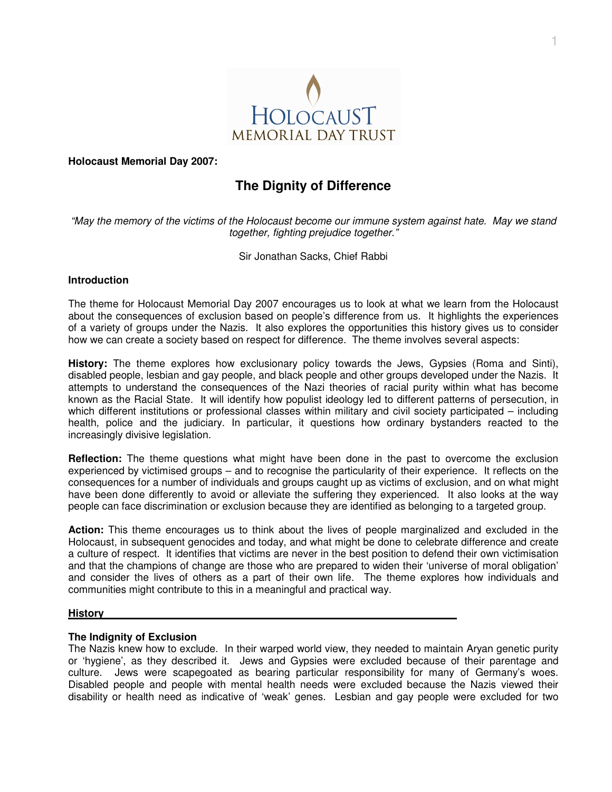

**Holocaust Memorial Day 2007:** 

# **The Dignity of Difference**

"May the memory of the victims of the Holocaust become our immune system against hate. May we stand together, fighting prejudice together."

Sir Jonathan Sacks, Chief Rabbi

# **Introduction**

The theme for Holocaust Memorial Day 2007 encourages us to look at what we learn from the Holocaust about the consequences of exclusion based on people's difference from us. It highlights the experiences of a variety of groups under the Nazis. It also explores the opportunities this history gives us to consider how we can create a society based on respect for difference. The theme involves several aspects:

**History:** The theme explores how exclusionary policy towards the Jews, Gypsies (Roma and Sinti), disabled people, lesbian and gay people, and black people and other groups developed under the Nazis. It attempts to understand the consequences of the Nazi theories of racial purity within what has become known as the Racial State. It will identify how populist ideology led to different patterns of persecution, in which different institutions or professional classes within military and civil society participated – including health, police and the judiciary. In particular, it questions how ordinary bystanders reacted to the increasingly divisive legislation.

**Reflection:** The theme questions what might have been done in the past to overcome the exclusion experienced by victimised groups – and to recognise the particularity of their experience. It reflects on the consequences for a number of individuals and groups caught up as victims of exclusion, and on what might have been done differently to avoid or alleviate the suffering they experienced. It also looks at the way people can face discrimination or exclusion because they are identified as belonging to a targeted group.

**Action:** This theme encourages us to think about the lives of people marginalized and excluded in the Holocaust, in subsequent genocides and today, and what might be done to celebrate difference and create a culture of respect. It identifies that victims are never in the best position to defend their own victimisation and that the champions of change are those who are prepared to widen their 'universe of moral obligation' and consider the lives of others as a part of their own life. The theme explores how individuals and communities might contribute to this in a meaningful and practical way.

## **History**

# **The Indignity of Exclusion**

The Nazis knew how to exclude. In their warped world view, they needed to maintain Aryan genetic purity or 'hygiene', as they described it. Jews and Gypsies were excluded because of their parentage and culture. Jews were scapegoated as bearing particular responsibility for many of Germany's woes. Disabled people and people with mental health needs were excluded because the Nazis viewed their disability or health need as indicative of 'weak' genes. Lesbian and gay people were excluded for two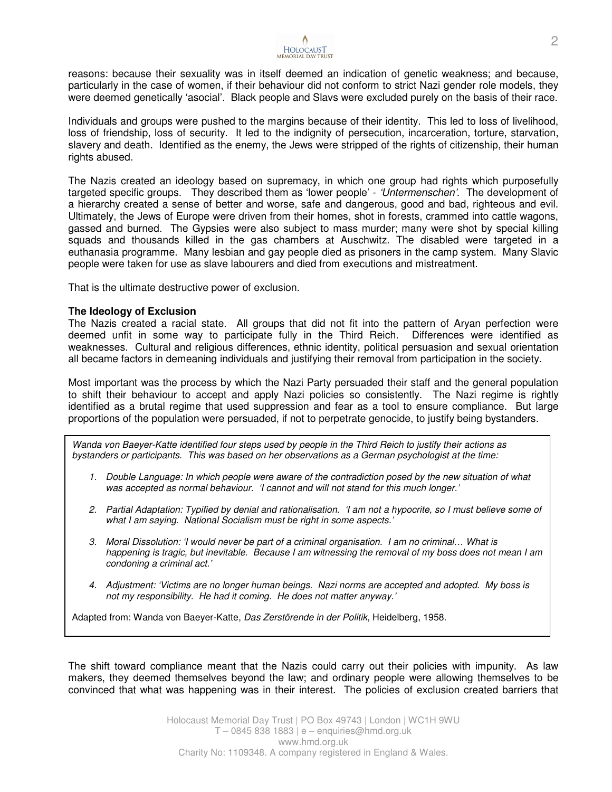

reasons: because their sexuality was in itself deemed an indication of genetic weakness; and because, particularly in the case of women, if their behaviour did not conform to strict Nazi gender role models, they were deemed genetically 'asocial'. Black people and Slavs were excluded purely on the basis of their race.

Individuals and groups were pushed to the margins because of their identity. This led to loss of livelihood, loss of friendship, loss of security. It led to the indignity of persecution, incarceration, torture, starvation, slavery and death. Identified as the enemy, the Jews were stripped of the rights of citizenship, their human rights abused.

The Nazis created an ideology based on supremacy, in which one group had rights which purposefully targeted specific groups. They described them as 'lower people' - 'Untermenschen'. The development of a hierarchy created a sense of better and worse, safe and dangerous, good and bad, righteous and evil. Ultimately, the Jews of Europe were driven from their homes, shot in forests, crammed into cattle wagons, gassed and burned. The Gypsies were also subject to mass murder; many were shot by special killing squads and thousands killed in the gas chambers at Auschwitz. The disabled were targeted in a euthanasia programme. Many lesbian and gay people died as prisoners in the camp system. Many Slavic people were taken for use as slave labourers and died from executions and mistreatment.

That is the ultimate destructive power of exclusion.

## **The Ideology of Exclusion**

The Nazis created a racial state. All groups that did not fit into the pattern of Aryan perfection were deemed unfit in some way to participate fully in the Third Reich. Differences were identified as weaknesses. Cultural and religious differences, ethnic identity, political persuasion and sexual orientation all became factors in demeaning individuals and justifying their removal from participation in the society.

Most important was the process by which the Nazi Party persuaded their staff and the general population to shift their behaviour to accept and apply Nazi policies so consistently. The Nazi regime is rightly identified as a brutal regime that used suppression and fear as a tool to ensure compliance. But large proportions of the population were persuaded, if not to perpetrate genocide, to justify being bystanders.

Wanda von Baeyer-Katte identified four steps used by people in the Third Reich to justify their actions as bystanders or participants. This was based on her observations as a German psychologist at the time:

- 1. Double Language: In which people were aware of the contradiction posed by the new situation of what was accepted as normal behaviour. 'I cannot and will not stand for this much longer.'
- 2. Partial Adaptation: Typified by denial and rationalisation. 'I am not a hypocrite, so I must believe some of what I am saying. National Socialism must be right in some aspects.'
- 3. Moral Dissolution: 'I would never be part of a criminal organisation. I am no criminal… What is happening is tragic, but inevitable. Because I am witnessing the removal of my boss does not mean I am condoning a criminal act.'
- 4. Adjustment: 'Victims are no longer human beings. Nazi norms are accepted and adopted. My boss is not my responsibility. He had it coming. He does not matter anyway.'

Adapted from: Wanda von Baeyer-Katte, Das Zerstörende in der Politik, Heidelberg, 1958.

The shift toward compliance meant that the Nazis could carry out their policies with impunity. As law makers, they deemed themselves beyond the law; and ordinary people were allowing themselves to be convinced that what was happening was in their interest. The policies of exclusion created barriers that

> Holocaust Memorial Day Trust | PO Box 49743 | London | WC1H 9WU T – 0845 838 1883 | e – enquiries@hmd.org.uk www.hmd.org.uk Charity No: 1109348. A company registered in England & Wales.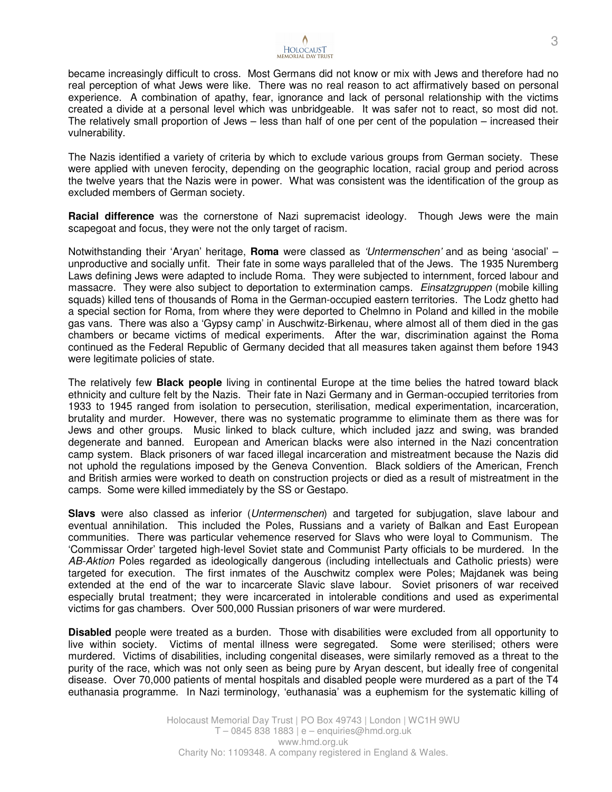

became increasingly difficult to cross. Most Germans did not know or mix with Jews and therefore had no real perception of what Jews were like. There was no real reason to act affirmatively based on personal experience. A combination of apathy, fear, ignorance and lack of personal relationship with the victims created a divide at a personal level which was unbridgeable. It was safer not to react, so most did not. The relatively small proportion of Jews – less than half of one per cent of the population – increased their vulnerability.

The Nazis identified a variety of criteria by which to exclude various groups from German society. These were applied with uneven ferocity, depending on the geographic location, racial group and period across the twelve years that the Nazis were in power. What was consistent was the identification of the group as excluded members of German society.

**Racial difference** was the cornerstone of Nazi supremacist ideology. Though Jews were the main scapegoat and focus, they were not the only target of racism.

Notwithstanding their 'Aryan' heritage, **Roma** were classed as 'Untermenschen' and as being 'asocial' – unproductive and socially unfit. Their fate in some ways paralleled that of the Jews. The 1935 Nuremberg Laws defining Jews were adapted to include Roma. They were subjected to internment, forced labour and massacre. They were also subject to deportation to extermination camps. *Einsatzgruppen* (mobile killing squads) killed tens of thousands of Roma in the German-occupied eastern territories. The Lodz ghetto had a special section for Roma, from where they were deported to Chelmno in Poland and killed in the mobile gas vans. There was also a 'Gypsy camp' in Auschwitz-Birkenau, where almost all of them died in the gas chambers or became victims of medical experiments. After the war, discrimination against the Roma continued as the Federal Republic of Germany decided that all measures taken against them before 1943 were legitimate policies of state.

The relatively few **Black people** living in continental Europe at the time belies the hatred toward black ethnicity and culture felt by the Nazis. Their fate in Nazi Germany and in German-occupied territories from 1933 to 1945 ranged from isolation to persecution, sterilisation, medical experimentation, incarceration, brutality and murder. However, there was no systematic programme to eliminate them as there was for Jews and other groups. Music linked to black culture, which included jazz and swing, was branded degenerate and banned. European and American blacks were also interned in the Nazi concentration camp system. Black prisoners of war faced illegal incarceration and mistreatment because the Nazis did not uphold the regulations imposed by the Geneva Convention. Black soldiers of the American, French and British armies were worked to death on construction projects or died as a result of mistreatment in the camps. Some were killed immediately by the SS or Gestapo.

**Slavs** were also classed as inferior (Untermenschen) and targeted for subjugation, slave labour and eventual annihilation. This included the Poles, Russians and a variety of Balkan and East European communities. There was particular vehemence reserved for Slavs who were loyal to Communism. The 'Commissar Order' targeted high-level Soviet state and Communist Party officials to be murdered. In the AB-Aktion Poles regarded as ideologically dangerous (including intellectuals and Catholic priests) were targeted for execution. The first inmates of the Auschwitz complex were Poles; Majdanek was being extended at the end of the war to incarcerate Slavic slave labour. Soviet prisoners of war received especially brutal treatment; they were incarcerated in intolerable conditions and used as experimental victims for gas chambers. Over 500,000 Russian prisoners of war were murdered.

**Disabled** people were treated as a burden. Those with disabilities were excluded from all opportunity to live within society. Victims of mental illness were segregated. Some were sterilised; others were murdered. Victims of disabilities, including congenital diseases, were similarly removed as a threat to the purity of the race, which was not only seen as being pure by Aryan descent, but ideally free of congenital disease. Over 70,000 patients of mental hospitals and disabled people were murdered as a part of the T4 euthanasia programme. In Nazi terminology, 'euthanasia' was a euphemism for the systematic killing of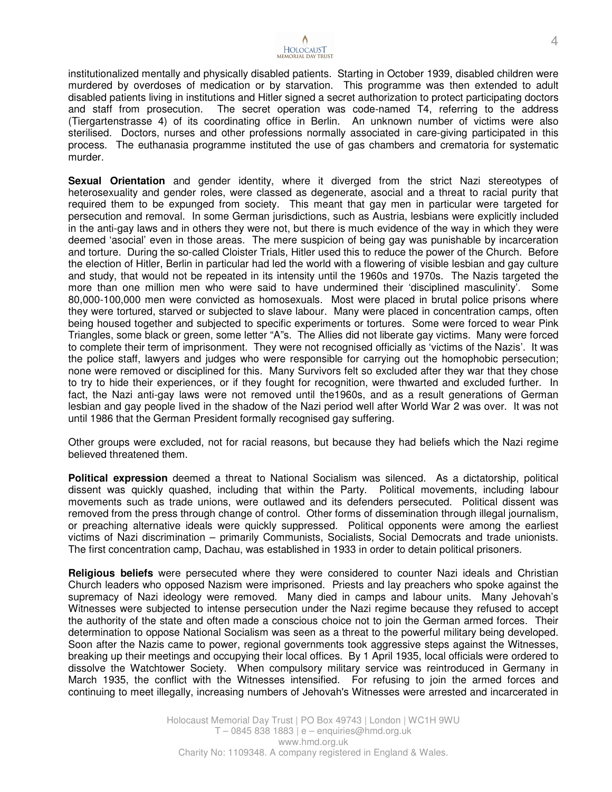

institutionalized mentally and physically disabled patients. Starting in October 1939, disabled children were murdered by overdoses of medication or by starvation. This programme was then extended to adult disabled patients living in institutions and Hitler signed a secret authorization to protect participating doctors and staff from prosecution. The secret operation was code-named T4, referring to the address (Tiergartenstrasse 4) of its coordinating office in Berlin. An unknown number of victims were also sterilised. Doctors, nurses and other professions normally associated in care-giving participated in this process. The euthanasia programme instituted the use of gas chambers and crematoria for systematic murder.

**Sexual Orientation** and gender identity, where it diverged from the strict Nazi stereotypes of heterosexuality and gender roles, were classed as degenerate, asocial and a threat to racial purity that required them to be expunged from society. This meant that gay men in particular were targeted for persecution and removal. In some German jurisdictions, such as Austria, lesbians were explicitly included in the anti-gay laws and in others they were not, but there is much evidence of the way in which they were deemed 'asocial' even in those areas. The mere suspicion of being gay was punishable by incarceration and torture. During the so-called Cloister Trials, Hitler used this to reduce the power of the Church. Before the election of Hitler, Berlin in particular had led the world with a flowering of visible lesbian and gay culture and study, that would not be repeated in its intensity until the 1960s and 1970s. The Nazis targeted the more than one million men who were said to have undermined their 'disciplined masculinity'. Some 80,000-100,000 men were convicted as homosexuals. Most were placed in brutal police prisons where they were tortured, starved or subjected to slave labour. Many were placed in concentration camps, often being housed together and subjected to specific experiments or tortures. Some were forced to wear Pink Triangles, some black or green, some letter "A"s. The Allies did not liberate gay victims. Many were forced to complete their term of imprisonment. They were not recognised officially as 'victims of the Nazis'. It was the police staff, lawyers and judges who were responsible for carrying out the homophobic persecution; none were removed or disciplined for this. Many Survivors felt so excluded after they war that they chose to try to hide their experiences, or if they fought for recognition, were thwarted and excluded further. In fact, the Nazi anti-gay laws were not removed until the1960s, and as a result generations of German lesbian and gay people lived in the shadow of the Nazi period well after World War 2 was over. It was not until 1986 that the German President formally recognised gay suffering.

Other groups were excluded, not for racial reasons, but because they had beliefs which the Nazi regime believed threatened them.

**Political expression** deemed a threat to National Socialism was silenced. As a dictatorship, political dissent was quickly quashed, including that within the Party. Political movements, including labour movements such as trade unions, were outlawed and its defenders persecuted. Political dissent was removed from the press through change of control. Other forms of dissemination through illegal journalism, or preaching alternative ideals were quickly suppressed. Political opponents were among the earliest victims of Nazi discrimination – primarily Communists, Socialists, Social Democrats and trade unionists. The first concentration camp, Dachau, was established in 1933 in order to detain political prisoners.

**Religious beliefs** were persecuted where they were considered to counter Nazi ideals and Christian Church leaders who opposed Nazism were imprisoned. Priests and lay preachers who spoke against the supremacy of Nazi ideology were removed. Many died in camps and labour units. Many Jehovah's Witnesses were subjected to intense persecution under the Nazi regime because they refused to accept the authority of the state and often made a conscious choice not to join the German armed forces. Their determination to oppose National Socialism was seen as a threat to the powerful military being developed. Soon after the Nazis came to power, regional governments took aggressive steps against the Witnesses, breaking up their meetings and occupying their local offices. By 1 April 1935, local officials were ordered to dissolve the Watchtower Society. When compulsory military service was reintroduced in Germany in March 1935, the conflict with the Witnesses intensified. For refusing to join the armed forces and continuing to meet illegally, increasing numbers of Jehovah's Witnesses were arrested and incarcerated in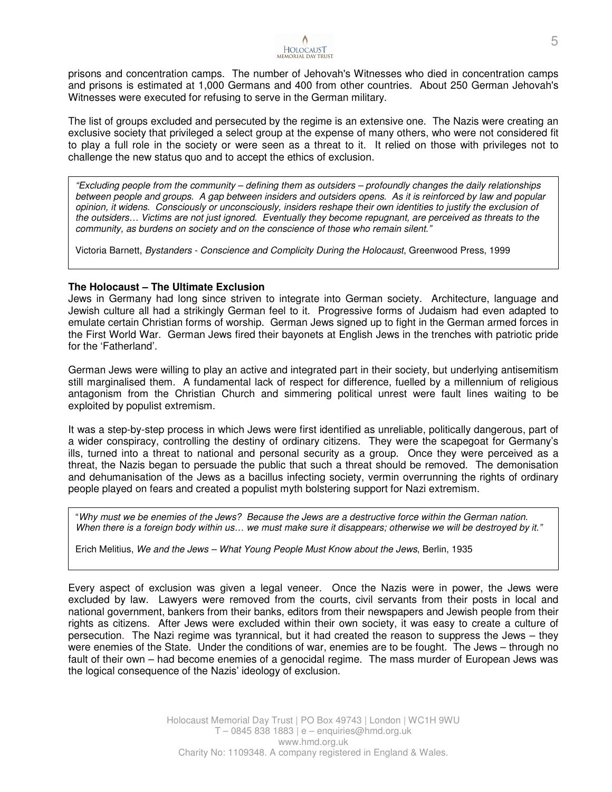prisons and concentration camps. The number of Jehovah's Witnesses who died in concentration camps and prisons is estimated at 1,000 Germans and 400 from other countries. About 250 German Jehovah's Witnesses were executed for refusing to serve in the German military.

The list of groups excluded and persecuted by the regime is an extensive one. The Nazis were creating an exclusive society that privileged a select group at the expense of many others, who were not considered fit to play a full role in the society or were seen as a threat to it. It relied on those with privileges not to challenge the new status quo and to accept the ethics of exclusion.

"Excluding people from the community – defining them as outsiders – profoundly changes the daily relationships between people and groups. A gap between insiders and outsiders opens. As it is reinforced by law and popular opinion, it widens. Consciously or unconsciously, insiders reshape their own identities to justify the exclusion of the outsiders… Victims are not just ignored. Eventually they become repugnant, are perceived as threats to the community, as burdens on society and on the conscience of those who remain silent."

Victoria Barnett, Bystanders - Conscience and Complicity During the Holocaust, Greenwood Press, 1999

## **The Holocaust – The Ultimate Exclusion**

Jews in Germany had long since striven to integrate into German society. Architecture, language and Jewish culture all had a strikingly German feel to it. Progressive forms of Judaism had even adapted to emulate certain Christian forms of worship. German Jews signed up to fight in the German armed forces in the First World War. German Jews fired their bayonets at English Jews in the trenches with patriotic pride for the 'Fatherland'.

German Jews were willing to play an active and integrated part in their society, but underlying antisemitism still marginalised them. A fundamental lack of respect for difference, fuelled by a millennium of religious antagonism from the Christian Church and simmering political unrest were fault lines waiting to be exploited by populist extremism.

It was a step-by-step process in which Jews were first identified as unreliable, politically dangerous, part of a wider conspiracy, controlling the destiny of ordinary citizens. They were the scapegoat for Germany's ills, turned into a threat to national and personal security as a group. Once they were perceived as a threat, the Nazis began to persuade the public that such a threat should be removed. The demonisation and dehumanisation of the Jews as a bacillus infecting society, vermin overrunning the rights of ordinary people played on fears and created a populist myth bolstering support for Nazi extremism.

"Why must we be enemies of the Jews? Because the Jews are a destructive force within the German nation. When there is a foreign body within us... we must make sure it disappears; otherwise we will be destroyed by it."

Erich Melitius, We and the Jews – What Young People Must Know about the Jews, Berlin, 1935

Every aspect of exclusion was given a legal veneer. Once the Nazis were in power, the Jews were excluded by law. Lawyers were removed from the courts, civil servants from their posts in local and national government, bankers from their banks, editors from their newspapers and Jewish people from their rights as citizens. After Jews were excluded within their own society, it was easy to create a culture of persecution. The Nazi regime was tyrannical, but it had created the reason to suppress the Jews – they were enemies of the State. Under the conditions of war, enemies are to be fought. The Jews – through no fault of their own – had become enemies of a genocidal regime. The mass murder of European Jews was the logical consequence of the Nazis' ideology of exclusion.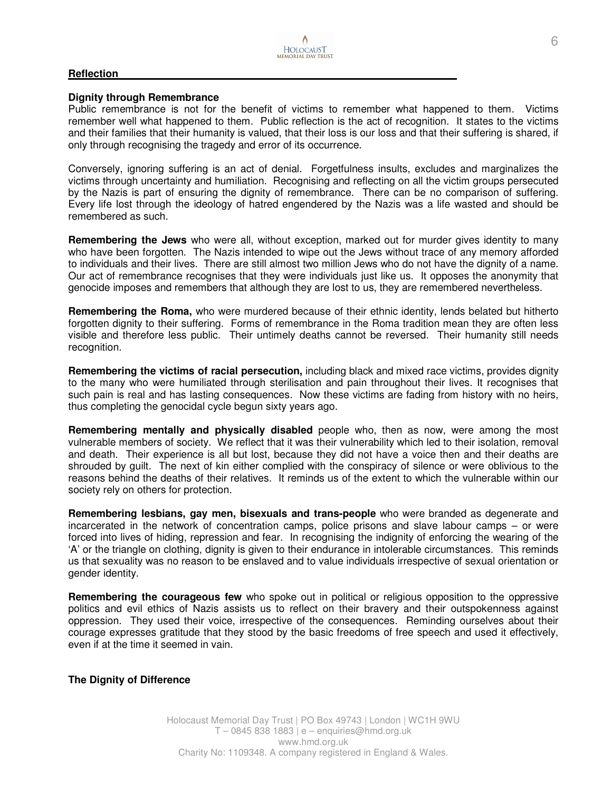#### **Reflection**

#### **Dignity through Remembrance**

Public remembrance is not for the benefit of victims to remember what happened to them. Victims remember well what happened to them. Public reflection is the act of recognition. It states to the victims and their families that their humanity is valued, that their loss is our loss and that their suffering is shared, if only through recognising the tragedy and error of its occurrence.

Conversely, ignoring suffering is an act of denial. Forgetfulness insults, excludes and marginalizes the victims through uncertainty and humiliation. Recognising and reflecting on all the victim groups persecuted by the Nazis is part of ensuring the dignity of remembrance. There can be no comparison of suffering. Every life lost through the ideology of hatred engendered by the Nazis was a life wasted and should be remembered as such.

**Remembering the Jews** who were all, without exception, marked out for murder gives identity to many who have been forgotten. The Nazis intended to wipe out the Jews without trace of any memory afforded to individuals and their lives. There are still almost two million Jews who do not have the dignity of a name. Our act of remembrance recognises that they were individuals just like us. It opposes the anonymity that genocide imposes and remembers that although they are lost to us, they are remembered nevertheless.

**Remembering the Roma,** who were murdered because of their ethnic identity, lends belated but hitherto forgotten dignity to their suffering. Forms of remembrance in the Roma tradition mean they are often less visible and therefore less public. Their untimely deaths cannot be reversed. Their humanity still needs recognition.

**Remembering the victims of racial persecution,** including black and mixed race victims, provides dignity to the many who were humiliated through sterilisation and pain throughout their lives. It recognises that such pain is real and has lasting consequences. Now these victims are fading from history with no heirs, thus completing the genocidal cycle begun sixty years ago.

**Remembering mentally and physically disabled** people who, then as now, were among the most vulnerable members of society. We reflect that it was their vulnerability which led to their isolation, removal and death. Their experience is all but lost, because they did not have a voice then and their deaths are shrouded by guilt. The next of kin either complied with the conspiracy of silence or were oblivious to the reasons behind the deaths of their relatives. It reminds us of the extent to which the vulnerable within our society rely on others for protection.

**Remembering lesbians, gay men, bisexuals and trans-people** who were branded as degenerate and incarcerated in the network of concentration camps, police prisons and slave labour camps – or were forced into lives of hiding, repression and fear. In recognising the indignity of enforcing the wearing of the 'A' or the triangle on clothing, dignity is given to their endurance in intolerable circumstances. This reminds us that sexuality was no reason to be enslaved and to value individuals irrespective of sexual orientation or gender identity.

**Remembering the courageous few** who spoke out in political or religious opposition to the oppressive politics and evil ethics of Nazis assists us to reflect on their bravery and their outspokenness against oppression. They used their voice, irrespective of the consequences. Reminding ourselves about their courage expresses gratitude that they stood by the basic freedoms of free speech and used it effectively, even if at the time it seemed in vain.

#### **The Dignity of Difference**

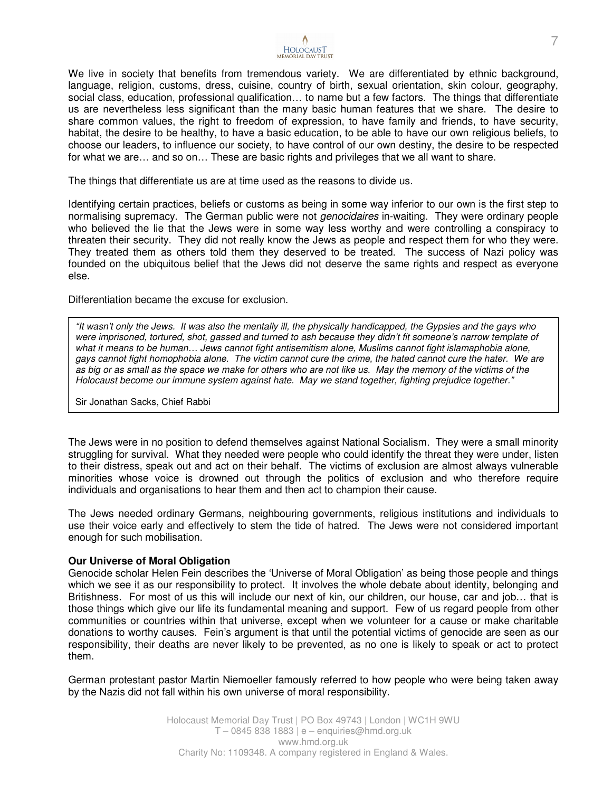

We live in society that benefits from tremendous variety. We are differentiated by ethnic background, language, religion, customs, dress, cuisine, country of birth, sexual orientation, skin colour, geography, social class, education, professional qualification… to name but a few factors. The things that differentiate us are nevertheless less significant than the many basic human features that we share. The desire to share common values, the right to freedom of expression, to have family and friends, to have security, habitat, the desire to be healthy, to have a basic education, to be able to have our own religious beliefs, to choose our leaders, to influence our society, to have control of our own destiny, the desire to be respected for what we are… and so on… These are basic rights and privileges that we all want to share.

The things that differentiate us are at time used as the reasons to divide us.

Identifying certain practices, beliefs or customs as being in some way inferior to our own is the first step to normalising supremacy. The German public were not *genocidaires* in-waiting. They were ordinary people who believed the lie that the Jews were in some way less worthy and were controlling a conspiracy to threaten their security. They did not really know the Jews as people and respect them for who they were. They treated them as others told them they deserved to be treated. The success of Nazi policy was founded on the ubiquitous belief that the Jews did not deserve the same rights and respect as everyone else.

Differentiation became the excuse for exclusion.

"It wasn't only the Jews. It was also the mentally ill, the physically handicapped, the Gypsies and the gays who were imprisoned, tortured, shot, gassed and turned to ash because they didn't fit someone's narrow template of what it means to be human… Jews cannot fight antisemitism alone, Muslims cannot fight islamaphobia alone, gays cannot fight homophobia alone. The victim cannot cure the crime, the hated cannot cure the hater. We are as big or as small as the space we make for others who are not like us. May the memory of the victims of the Holocaust become our immune system against hate. May we stand together, fighting prejudice together."

Sir Jonathan Sacks, Chief Rabbi

The Jews were in no position to defend themselves against National Socialism. They were a small minority struggling for survival. What they needed were people who could identify the threat they were under, listen to their distress, speak out and act on their behalf. The victims of exclusion are almost always vulnerable minorities whose voice is drowned out through the politics of exclusion and who therefore require individuals and organisations to hear them and then act to champion their cause.

The Jews needed ordinary Germans, neighbouring governments, religious institutions and individuals to use their voice early and effectively to stem the tide of hatred. The Jews were not considered important enough for such mobilisation.

## **Our Universe of Moral Obligation**

Genocide scholar Helen Fein describes the 'Universe of Moral Obligation' as being those people and things which we see it as our responsibility to protect. It involves the whole debate about identity, belonging and Britishness. For most of us this will include our next of kin, our children, our house, car and job… that is those things which give our life its fundamental meaning and support. Few of us regard people from other communities or countries within that universe, except when we volunteer for a cause or make charitable donations to worthy causes. Fein's argument is that until the potential victims of genocide are seen as our responsibility, their deaths are never likely to be prevented, as no one is likely to speak or act to protect them.

German protestant pastor Martin Niemoeller famously referred to how people who were being taken away by the Nazis did not fall within his own universe of moral responsibility.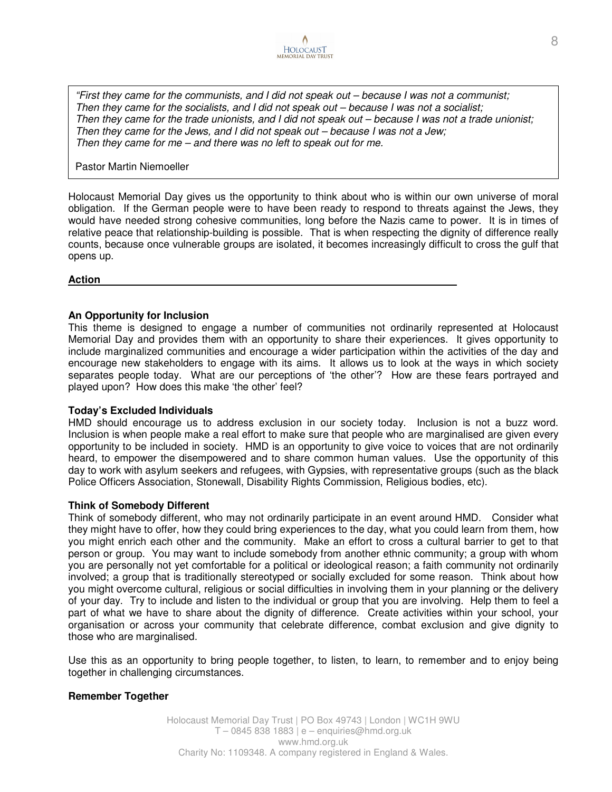

"First they came for the communists, and I did not speak out – because I was not a communist; Then they came for the socialists, and I did not speak out – because I was not a socialist; Then they came for the trade unionists, and I did not speak out – because I was not a trade unionist; Then they came for the Jews, and I did not speak out – because I was not a Jew; Then they came for me – and there was no left to speak out for me.

Pastor Martin Niemoeller

Holocaust Memorial Day gives us the opportunity to think about who is within our own universe of moral obligation. If the German people were to have been ready to respond to threats against the Jews, they would have needed strong cohesive communities, long before the Nazis came to power. It is in times of relative peace that relationship-building is possible. That is when respecting the dignity of difference really counts, because once vulnerable groups are isolated, it becomes increasingly difficult to cross the gulf that opens up.

## **Action**

# **An Opportunity for Inclusion**

This theme is designed to engage a number of communities not ordinarily represented at Holocaust Memorial Day and provides them with an opportunity to share their experiences. It gives opportunity to include marginalized communities and encourage a wider participation within the activities of the day and encourage new stakeholders to engage with its aims. It allows us to look at the ways in which society separates people today. What are our perceptions of 'the other'? How are these fears portrayed and played upon? How does this make 'the other' feel?

# **Today's Excluded Individuals**

HMD should encourage us to address exclusion in our society today. Inclusion is not a buzz word. Inclusion is when people make a real effort to make sure that people who are marginalised are given every opportunity to be included in society. HMD is an opportunity to give voice to voices that are not ordinarily heard, to empower the disempowered and to share common human values. Use the opportunity of this day to work with asylum seekers and refugees, with Gypsies, with representative groups (such as the black Police Officers Association, Stonewall, Disability Rights Commission, Religious bodies, etc).

# **Think of Somebody Different**

Think of somebody different, who may not ordinarily participate in an event around HMD. Consider what they might have to offer, how they could bring experiences to the day, what you could learn from them, how you might enrich each other and the community. Make an effort to cross a cultural barrier to get to that person or group. You may want to include somebody from another ethnic community; a group with whom you are personally not yet comfortable for a political or ideological reason; a faith community not ordinarily involved; a group that is traditionally stereotyped or socially excluded for some reason. Think about how you might overcome cultural, religious or social difficulties in involving them in your planning or the delivery of your day. Try to include and listen to the individual or group that you are involving. Help them to feel a part of what we have to share about the dignity of difference. Create activities within your school, your organisation or across your community that celebrate difference, combat exclusion and give dignity to those who are marginalised.

Use this as an opportunity to bring people together, to listen, to learn, to remember and to enjoy being together in challenging circumstances.

# **Remember Together**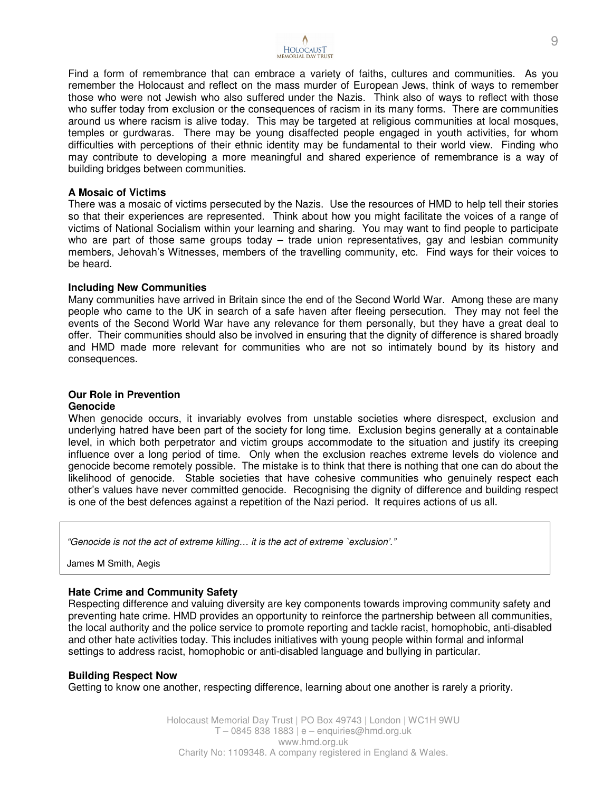

Find a form of remembrance that can embrace a variety of faiths, cultures and communities. As you remember the Holocaust and reflect on the mass murder of European Jews, think of ways to remember those who were not Jewish who also suffered under the Nazis. Think also of ways to reflect with those who suffer today from exclusion or the consequences of racism in its many forms. There are communities around us where racism is alive today. This may be targeted at religious communities at local mosques, temples or gurdwaras. There may be young disaffected people engaged in youth activities, for whom difficulties with perceptions of their ethnic identity may be fundamental to their world view. Finding who may contribute to developing a more meaningful and shared experience of remembrance is a way of building bridges between communities.

#### **A Mosaic of Victims**

There was a mosaic of victims persecuted by the Nazis. Use the resources of HMD to help tell their stories so that their experiences are represented. Think about how you might facilitate the voices of a range of victims of National Socialism within your learning and sharing. You may want to find people to participate who are part of those same groups today  $-$  trade union representatives, gay and lesbian community members, Jehovah's Witnesses, members of the travelling community, etc. Find ways for their voices to be heard.

## **Including New Communities**

Many communities have arrived in Britain since the end of the Second World War. Among these are many people who came to the UK in search of a safe haven after fleeing persecution. They may not feel the events of the Second World War have any relevance for them personally, but they have a great deal to offer. Their communities should also be involved in ensuring that the dignity of difference is shared broadly and HMD made more relevant for communities who are not so intimately bound by its history and consequences.

## **Our Role in Prevention Genocide**

When genocide occurs, it invariably evolves from unstable societies where disrespect, exclusion and underlying hatred have been part of the society for long time. Exclusion begins generally at a containable level, in which both perpetrator and victim groups accommodate to the situation and justify its creeping influence over a long period of time. Only when the exclusion reaches extreme levels do violence and genocide become remotely possible. The mistake is to think that there is nothing that one can do about the likelihood of genocide. Stable societies that have cohesive communities who genuinely respect each other's values have never committed genocide. Recognising the dignity of difference and building respect is one of the best defences against a repetition of the Nazi period. It requires actions of us all.

"Genocide is not the act of extreme killing… it is the act of extreme `exclusion'."

James M Smith, Aegis

# **Hate Crime and Community Safety**

Respecting difference and valuing diversity are key components towards improving community safety and preventing hate crime. HMD provides an opportunity to reinforce the partnership between all communities, the local authority and the police service to promote reporting and tackle racist, homophobic, anti-disabled and other hate activities today. This includes initiatives with young people within formal and informal settings to address racist, homophobic or anti-disabled language and bullying in particular.

## **Building Respect Now**

Getting to know one another, respecting difference, learning about one another is rarely a priority.